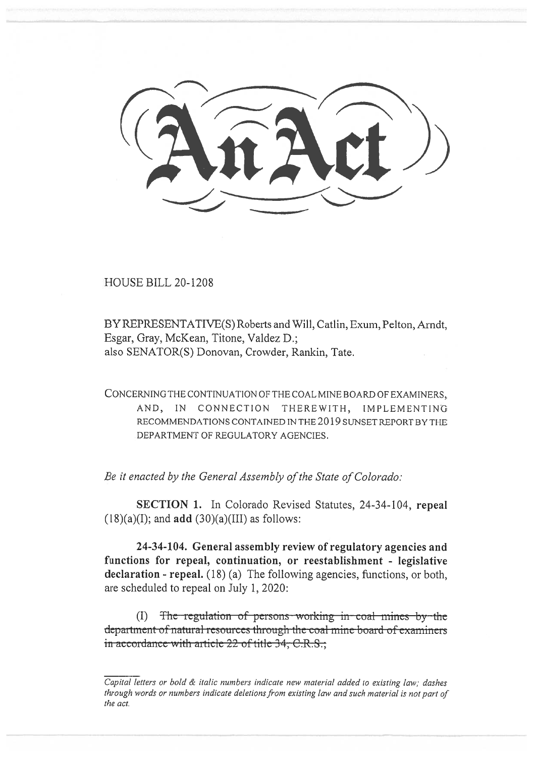**HOUSE BILL 20-1208** 

BY REPRESENTATIVE(S) Roberts and Will, Catlin, Exum, Pelton, Arndt, Esgar, Gray, McKean, Titone, Valdez D.; also SENATOR(S) Donovan, Crowder, Rankin, Tate.

CONCERNING THE CONTINUATION OF THE COAL MINE BOARD OF EXAMINERS, AND, IN CONNECTION THEREWITH, IMPLEMENTING RECOMMENDATIONS CONTAINED IN THE 2019 SUNSET REPORT BY THE DEPARTMENT OF REGULATORY AGENCIES.

Be it enacted by the General Assembly of the State of Colorado:

SECTION 1. In Colorado Revised Statutes, 24-34-104, repeal  $(18)(a)(I)$ ; and add  $(30)(a)(III)$  as follows:

24-34-104. General assembly review of regulatory agencies and functions for repeal, continuation, or reestablishment - legislative declaration - repeal. (18) (a) The following agencies, functions, or both, are scheduled to repeal on July 1, 2020:

(I) The regulation of persons working in coal mines by the department of natural resources through the coal mine board of examiners in accordance with article 22 of title 34, C.R.S.;

Capital letters or bold & italic numbers indicate new material added to existing law; dashes through words or numbers indicate deletions from existing law and such material is not part of the act.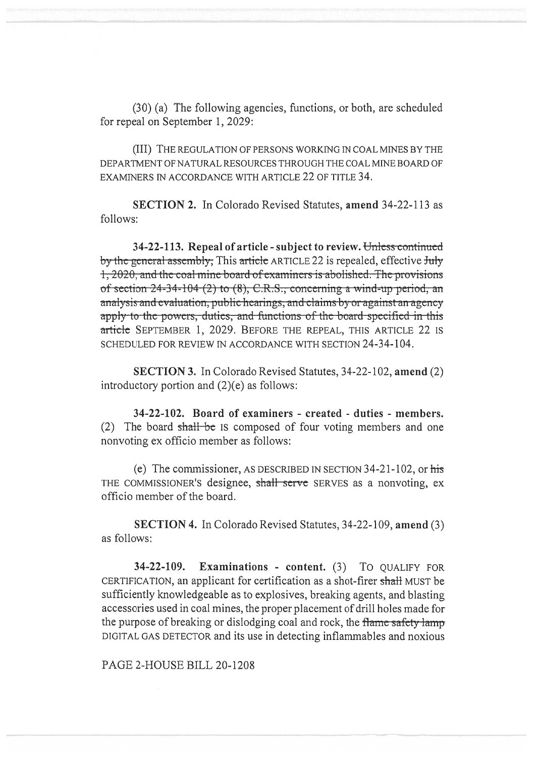(30) (a) The following agencies, functions, or both, are scheduled for repeal on September 1, 2029:

(III) THE REGULATION OF PERSONS WORKING IN COAL MINES BY THE DEPARTMENT OF NATURAL RESOURCES THROUGH THE COAL MINE BOARD OF EXAMINERS IN ACCORDANCE WITH ARTICLE 22 OF TITLE 34.

**SECTION 2.** In Colorado Revised Statutes, **amend** 34-22-113 as follows:

34-22-113. Repeal of article - subject to review. Unless continued <del>y the general assembly,</del> This <del>article</del> ARTICLE 22 is repealed, effective <del>July</del> , 2020, and the coal mine board of examiners is abolished. The provisions of section  $24-34-104$  (2) to (8), C.R.S., concerning a wind-up period, an analysis and evaluation, public hearings, and claims by or against an agency apply to the powers, duties, and functions of the board specified in this article SEPTEMBER 1, 2029. BEFORE THE REPEAL, THIS ARTICLE 22 IS SCHEDULED FOR REVIEW IN ACCORDANCE WITH SECTION 24-34-104.

**SECTION 3.** In Colorado Revised Statutes, 34-22-102, **amend** (2) introductory portion and (2)(e) as follows:

**34-22-102. Board of examiners - created - duties - members.**  (2) The board shall be IS composed of four voting members and one nonvoting ex officio member as follows:

(e) The commissioner, AS DESCRIBED IN SECTION 34-21-102, or his THE COMMISSIONER'S designee, shall serve SERVES as a nonvoting, ex officio member of the board.

**SECTION 4.** In Colorado Revised Statutes, 34-22-109, **amend** (3) as follows:

**34-22-109. Examinations - content.** (3) To QUALIFY FOR CERTIFICATION, an applicant for certification as a shot-firer shall MUST be sufficiently knowledgeable as to explosives, breaking agents, and blasting accessories used in coal mines, the proper placement of drill holes made for the purpose of breaking or dislodging coal and rock, the flame safety lamp DIGITAL GAS DETECTOR and its use in detecting inflammables and noxious

PAGE 2-HOUSE BILL 20-1208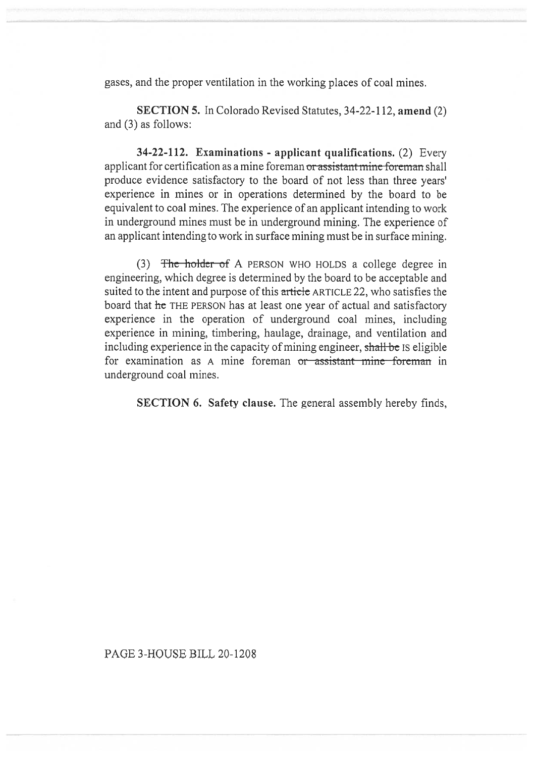gases, and the proper ventilation in the working places of coal mines.

**SECTION 5.** In Colorado Revised Statutes, 34-22-112, **amend** (2) and (3) as follows:

**34-22-112. Examinations - applicant qualifications.** (2) Every applicant for certification as a mine foreman or assistant mine foreman shall produce evidence satisfactory to the board of not less than three years' experience in mines or in operations determined by the board to be equivalent to coal mines. The experience of an applicant intending to work in underground mines must be in underground mining. The experience of an applicant intending to work in surface mining must be in surface mining.

(3) The holder of A PERSON WHO HOLDS a college degree in engineering, which degree is determined by the board to be acceptable and suited to the intent and purpose of this article ARTICLE 22, who satisfies the board that **he** THE PERSON has at least one year of actual and satisfactory experience in the operation of underground coal mines, including experience in mining, timbering, haulage, drainage, and ventilation and including experience in the capacity of mining engineer, shall be IS eligible for examination as A mine foreman or assistant mine foreman in underground coal mines.

**SECTION 6. Safety clause.** The general assembly hereby finds,